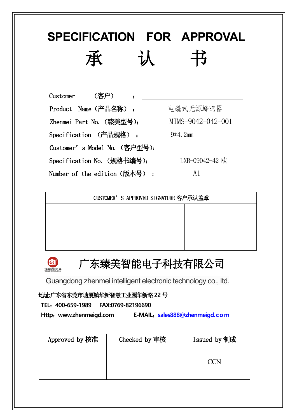| SPECIFICATION FOR APPROVAL<br>承                    |
|----------------------------------------------------|
| (客户)<br>Customer                                   |
| 电磁式无源蜂鸣器<br>Product Name (产品名称) :                  |
| MIMS-9042-042-001<br>Zhenmei Part No. (臻美型号):      |
| Specification (产品规格) :<br>9*4.2mm                  |
| Customer' s Model No. (客户型号):                      |
| LXB-09042-42 欧<br>Specification No. (规格书编号): _____ |
| A1<br>Number of the edition (版本号):                 |

|  | CUSTOMER'S APPROVED SIGNATURE 客户承认盖章 |  |
|--|--------------------------------------|--|
|  |                                      |  |
|  |                                      |  |
|  |                                      |  |
|  |                                      |  |



# 广东臻美智能电子科技有限公司

Guangdong zhenmei intelligent electronic technology co., ltd.

地址**:**广东省东莞市塘厦镇华新智慧工业园华新路**22** 号

**TEL**:**400-659-1989 FAX:0769-82196690**

**Http**:**www.zhenmeigd.com E-MAIL**:**[sales888@zhenmeigd.com](mailto:sales888@zhenmeigd.com)**

| Approved by 核准 | Checked by 审核 | Issued by 制成    |
|----------------|---------------|-----------------|
|                |               |                 |
|                |               | $\sqrt{\rm CN}$ |
|                |               |                 |
|                |               |                 |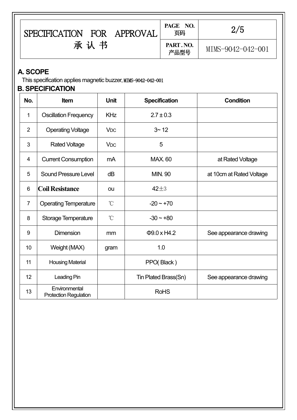|                | SPECIFICATION FOR APPROVAL                                                               |                       |          | PAGE NO.<br>页码       | 2/5                      |
|----------------|------------------------------------------------------------------------------------------|-----------------------|----------|----------------------|--------------------------|
|                | 承认书                                                                                      |                       |          | PART. NO.<br>产品型号    | MIMS-9042-042-001        |
| A. SCOPE       | This specification applies magnetic buzzer, MIMS-9042-042-001<br><b>B. SPECIFICATION</b> |                       |          |                      |                          |
| No.            | Item                                                                                     | <b>Unit</b>           |          | <b>Specification</b> | <b>Condition</b>         |
| 1              | <b>Oscillation Frequency</b>                                                             | <b>KHz</b>            |          | $2.7 \pm 0.3$        |                          |
| $\overline{2}$ | <b>Operating Voltage</b>                                                                 | <b>V<sub>DC</sub></b> |          | $3 - 12$             |                          |
| 3              | <b>Rated Voltage</b>                                                                     | <b>V<sub>DC</sub></b> |          | 5                    |                          |
| 4              | <b>Current Consumption</b>                                                               | mA                    |          | <b>MAX. 60</b>       | at Rated Voltage         |
| 5              | <b>Sound Pressure Level</b>                                                              | dB                    |          | <b>MIN. 90</b>       | at 10cm at Rated Voltage |
| 6              | <b>Coil Resistance</b>                                                                   | ou                    | $42\pm3$ |                      |                          |
| $\overline{7}$ | <b>Operating Temperature</b>                                                             | $^{\circ}$ C          |          | $-20 - +70$          |                          |
| 8              | Storage Temperature                                                                      | $\rm ^{\circ}C$       |          | $-30 - +80$          |                          |
| 9              | <b>Dimension</b>                                                                         | mm                    |          | $\Phi$ 9.0 x H4.2    | See appearance drawing   |
| 10             | Weight (MAX)                                                                             | gram                  |          | 1.0                  |                          |
| 11             | <b>Housing Material</b>                                                                  |                       |          | PPO(Black)           |                          |
| 12             | Leading Pin                                                                              |                       |          | Tin Plated Brass(Sn) | See appearance drawing   |
| 13             | Environmental<br><b>Protection Regulation</b>                                            |                       |          | <b>RoHS</b>          |                          |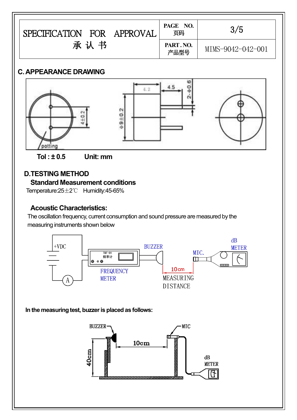| FOR<br><b>SPECIFICATION</b><br>APPROVAL | PAGE NO.<br>页码   | 3/5               |
|-----------------------------------------|------------------|-------------------|
| 书<br>承认                                 | PART.NO.<br>产品型号 | MIMS-9042-042-001 |

## **C.APPEARANCE DRAWING**





#### **D.TESTING METHOD Standard Measurement conditions**

Temperature:25±2℃ Humidity:45-65%

# **Acoustic Characteristics:**

The oscillation frequency, current consumption and sound pressure are measured by the measuring instruments shown below



### **In the measuring test, buzzeris placed as follows:**

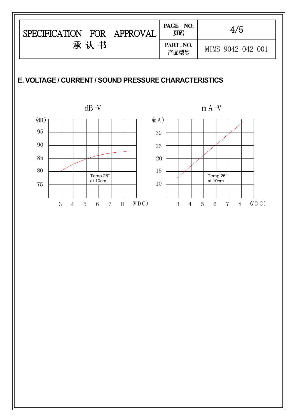